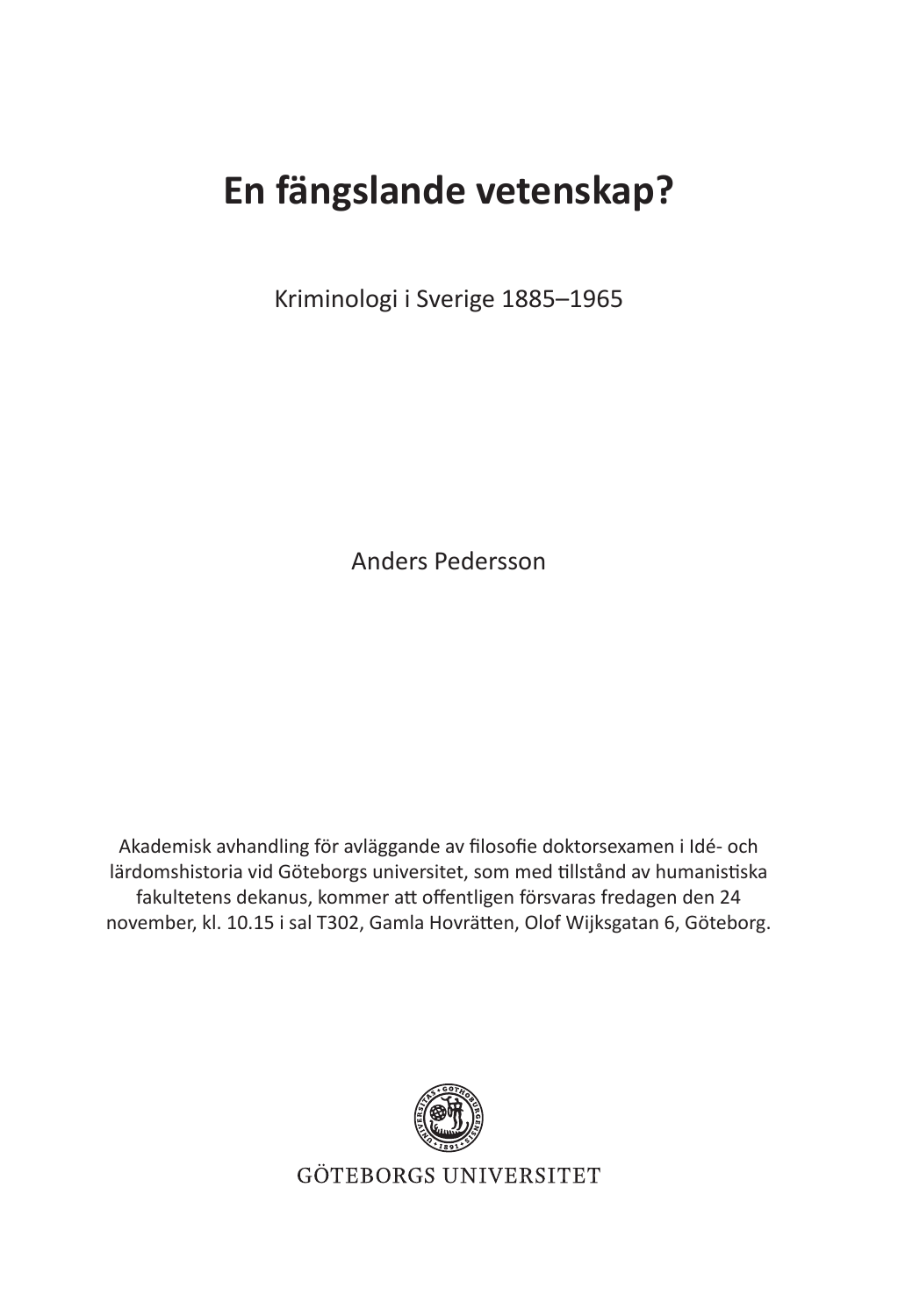## **En fängslande vetenskap?**

Kriminologi i Sverige 1885–1965

Anders Pedersson

Akademisk avhandling för avläggande av filosofie doktorsexamen i Idé- och lärdomshistoria vid Göteborgs universitet, som med tillstånd av humanistiska fakultetens dekanus, kommer att offentligen försvaras fredagen den 24 november, kl. 10.15 i sal T302, Gamla Hovrätten, Olof Wijksgatan 6, Göteborg.



**GÖTEBORGS UNIVERSITET**